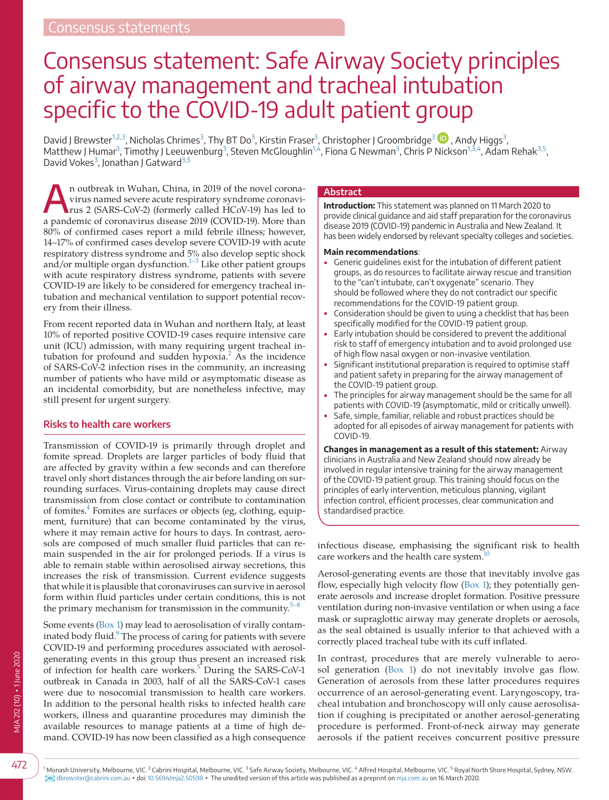# Consensus statement: Safe Airway Society principles of airway management and tracheal intubation specific to the COVID-19 adult patient group

David J Brewster<sup>1,2,[3](#page-0-1)</sup>[,](https://orcid.org/0000-0002-2336-1525) Nicholas Chrimes<sup>3</sup>, Thy BT Do<sup>3</sup>, Kirstin Fraser<sup>3</sup>, Christopher J Groombridge<sup>3</sup> ��, Andy Higgs<sup>3</sup>, Matthew J Humar<sup>[3](#page-0-1)</sup>, Timothy J Leeuwenburg<sup>3</sup>, Steven McGloughlin<sup>1,4</sup>, Fiona G Newman<sup>3</sup>, Chris P Nickson<sup>[1,3,4](#page-0-0)</sup>, Adam Rehak<sup>[3,5](#page-0-1)</sup>, David Vokes<sup>[3](#page-0-1)</sup>, Jonathan J Gatward<sup>[3,5](#page-0-1)</sup>

An outbreak in Wuhan, China, in 2019 of the novel corona-<br>virus named severe acute respiratory syndrome coronavi-<br>rus 2 (SARS-CoV-2) (formerly called HCoV-19) has led to virus named severe acute respiratory syndrome coronavirus 2 (SARS-CoV-2) (formerly called HCoV-19) has led to a pandemic of coronavirus disease 2019 (COVID-19). More than 80% of confirmed cases report a mild febrile illness; however, 14–17% of confirmed cases develop severe COVID-19 with acute respiratory distress syndrome and 5% also develop septic shock  $\frac{1}{3}$  Like other patient groups with acute respiratory distress syndrome, patients with severe COVID-19 are likely to be considered for emergency tracheal intubation and mechanical ventilation to support potential recovery from their illness.

From recent reported data in Wuhan and northern Italy, at least 10% of reported positive COVID-19 cases require intensive care unit (ICU) admission, with many requiring urgent tracheal in-tubation for profound and sudden hypoxia.<sup>[2](#page-8-1)</sup> As the incidence of SARS-CoV-2 infection rises in the community, an increasing number of patients who have mild or asymptomatic disease as an incidental comorbidity, but are nonetheless infective, may still present for urgent surgery.

## **Risks to health care workers**

Transmission of COVID-19 is primarily through droplet and fomite spread. Droplets are larger particles of body fluid that are affected by gravity within a few seconds and can therefore travel only short distances through the air before landing on surrounding surfaces. Virus-containing droplets may cause direct transmission from close contact or contribute to contamination of fomites.<sup>[4](#page-8-2)</sup> Fomites are surfaces or objects (eg, clothing, equipment, furniture) that can become contaminated by the virus, where it may remain active for hours to days. In contrast, aerosols are composed of much smaller fluid particles that can remain suspended in the air for prolonged periods. If a virus is able to remain stable within aerosolised airway secretions, this increases the risk of transmission. Current evidence suggests that while it is plausible that coronaviruses can survive in aerosol form within fluid particles under certain conditions, this is not the primary mechanism for transmission in the community. $5$ 

Some events ([Box 1\)](#page-1-0) may lead to aerosolisation of virally contam-inated body fluid.<sup>[9](#page-8-4)</sup> The process of caring for patients with severe COVID-19 and performing procedures associated with aerosolgenerating events in this group thus present an increased risk of infection for health care workers.<sup>[5](#page-8-3)</sup> During the SARS-CoV-1 outbreak in Canada in 2003, half of all the SARS-CoV-1 cases were due to nosocomial transmission to health care workers. In addition to the personal health risks to infected health care workers, illness and quarantine procedures may diminish the available resources to manage patients at a time of high demand. COVID-19 has now been classified as a high consequence

#### **Abstract**

**Introduction:** This statement was planned on 11 March 2020 to provide clinical guidance and aid staff preparation for the coronavirus disease 2019 (COVID-19) pandemic in Australia and New Zealand. It has been widely endorsed by relevant specialty colleges and societies.

#### **Main recommendations**:

- Generic guidelines exist for the intubation of different patient groups, as do resources to facilitate airway rescue and transition to the "can't intubate, can't oxygenate" scenario. They should be followed where they do not contradict our specific recommendations for the COVID-19 patient group.
- Consideration should be given to using a checklist that has been specifically modified for the COVID-19 patient group.
- Early intubation should be considered to prevent the additional risk to staff of emergency intubation and to avoid prolonged use of high flow nasal oxygen or non-invasive ventilation.
- Significant institutional preparation is required to optimise staff and patient safety in preparing for the airway management of the COVID-19 patient group.
- The principles for airway management should be the same for all patients with COVID-19 (asymptomatic, mild or critically unwell).
- Safe, simple, familiar, reliable and robust practices should be adopted for all episodes of airway management for patients with COVID-19.

**Changes in management as a result of this statement:** Airway clinicians in Australia and New Zealand should now already be involved in regular intensive training for the airway management of the COVID-19 patient group. This training should focus on the principles of early intervention, meticulous planning, vigilant infection control, efficient processes, clear communication and standardised practice.

infectious disease, emphasising the significant risk to health care workers and the health care system.

Aerosol-generating events are those that inevitably involve gas flow, especially high velocity flow [\(Box 1](#page-1-0)); they potentially generate aerosols and increase droplet formation. Positive pressure ventilation during non-invasive ventilation or when using a face mask or supraglottic airway may generate droplets or aerosols, as the seal obtained is usually inferior to that achieved with a correctly placed tracheal tube with its cuff inflated.

<span id="page-0-1"></span>In contrast, procedures that are merely vulnerable to aerosol generation ([Box 1\)](#page-1-0) do not inevitably involve gas flow. Generation of aerosols from these latter procedures requires occurrence of an aerosol-generating event. Laryngoscopy, tracheal intubation and bronchoscopy will only cause aerosolisation if coughing is precipitated or another aerosol-generating procedure is performed. Front-of-neck airway may generate aerosols if the patient receives concurrent positive pressure

<span id="page-0-0"></span>1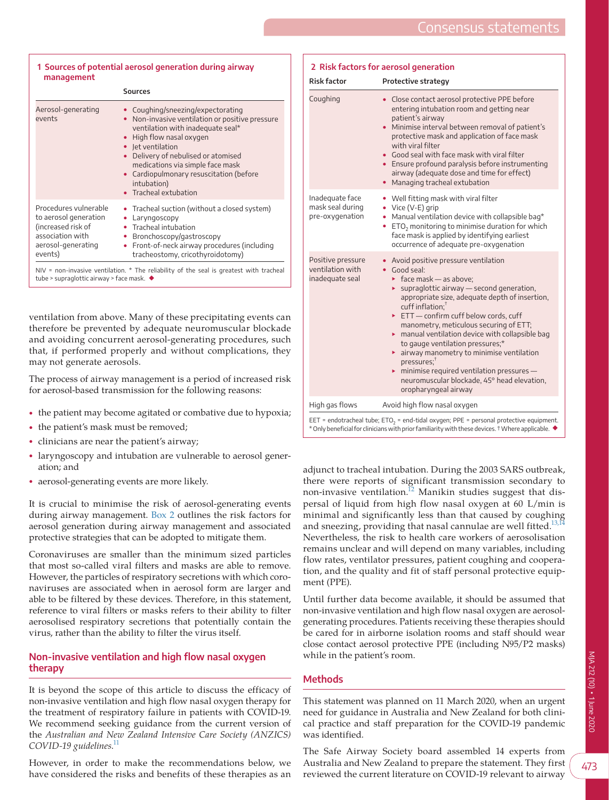<span id="page-1-0"></span>

| 1 Sources of potential aerosol generation during airway<br>management                                                     |                                                                                                                                                                                                                                                                                                                                               |
|---------------------------------------------------------------------------------------------------------------------------|-----------------------------------------------------------------------------------------------------------------------------------------------------------------------------------------------------------------------------------------------------------------------------------------------------------------------------------------------|
|                                                                                                                           | <b>Sources</b>                                                                                                                                                                                                                                                                                                                                |
| Aerosol-generating<br>events                                                                                              | Coughing/sneezing/expectorating<br>Non-invasive ventilation or positive pressure<br>$\bullet$<br>ventilation with inadequate seal*<br>High flow nasal oxygen<br>• Jet ventilation<br>Delivery of nebulised or atomised<br>medications via simple face mask<br>• Cardiopulmonary resuscitation (before<br>intubation)<br>• Tracheal extubation |
| Procedures vulnerable<br>to aerosol generation<br>(increased risk of<br>association with<br>aerosol-generating<br>events) | • Tracheal suction (without a closed system)<br>Laryngoscopy<br>• Tracheal intubation<br>Bronchoscopy/gastroscopy<br>Front-of-neck airway procedures (including<br>tracheostomy, cricothyroidotomy)                                                                                                                                           |
| tube > supraglottic airway > face mask. $\blacklozenge$                                                                   | NIV = non-invasive ventilation. $*$ The reliability of the seal is greatest with tracheal                                                                                                                                                                                                                                                     |

ventilation from above. Many of these precipitating events can therefore be prevented by adequate neuromuscular blockade and avoiding concurrent aerosol-generating procedures, such that, if performed properly and without complications, they may not generate aerosols.

The process of airway management is a period of increased risk for aerosol-based transmission for the following reasons:

- the patient may become agitated or combative due to hypoxia;
- the patient's mask must be removed;
- clinicians are near the patient's airway;
- laryngoscopy and intubation are vulnerable to aerosol generation; and
- aerosol-generating events are more likely.

It is crucial to minimise the risk of aerosol-generating events during airway management. [Box 2](#page-1-1) outlines the risk factors for aerosol generation during airway management and associated protective strategies that can be adopted to mitigate them.

Coronaviruses are smaller than the minimum sized particles that most so-called viral filters and masks are able to remove. However, the particles of respiratory secretions with which coronaviruses are associated when in aerosol form are larger and able to be filtered by these devices. Therefore, in this statement, reference to viral filters or masks refers to their ability to filter aerosolised respiratory secretions that potentially contain the virus, rather than the ability to filter the virus itself.

## **Non-invasive ventilation and high flow nasal oxygen therapy**

It is beyond the scope of this article to discuss the efficacy of non-invasive ventilation and high flow nasal oxygen therapy for the treatment of respiratory failure in patients with COVID-19. We recommend seeking guidance from the current version of the *Australian and New Zealand Intensive Care Society (ANZICS) COVID-19 guidelines*. [11](#page-8-6)

However, in order to make the recommendations below, we have considered the risks and benefits of these therapies as an

<span id="page-1-1"></span>

| 2 Risk factors for aerosol generation                    |                                                                                                                                                                                                                                                                                                                                                                                                                                                                                                                                                                                                                                                                       |
|----------------------------------------------------------|-----------------------------------------------------------------------------------------------------------------------------------------------------------------------------------------------------------------------------------------------------------------------------------------------------------------------------------------------------------------------------------------------------------------------------------------------------------------------------------------------------------------------------------------------------------------------------------------------------------------------------------------------------------------------|
| <b>Risk factor</b>                                       | Protective strategy                                                                                                                                                                                                                                                                                                                                                                                                                                                                                                                                                                                                                                                   |
| Coughing                                                 | Close contact aerosol protective PPE before<br>entering intubation room and getting near<br>patient's airway<br>Minimise interval between removal of patient's<br>protective mask and application of face mask<br>with viral filter<br>• Good seal with face mask with viral filter<br>• Ensure profound paralysis before instrumenting<br>airway (adequate dose and time for effect)<br>Managing tracheal extubation                                                                                                                                                                                                                                                 |
| Inadequate face<br>mask seal during<br>pre-oxygenation   | • Well fitting mask with viral filter<br>• Vice (V-E) grip<br>• Manual ventilation device with collapsible bag*<br>$ETO2$ monitoring to minimise duration for which<br>face mask is applied by identifying earliest<br>occurrence of adequate pre-oxygenation                                                                                                                                                                                                                                                                                                                                                                                                         |
| Positive pressure<br>ventilation with<br>inadequate seal | • Avoid positive pressure ventilation<br>• Good seal:<br>$\triangleright$ face mask - as above;<br>supraglottic airway - second generation,<br>×.<br>appropriate size, adequate depth of insertion,<br>$\text{cuff}$ inflation: $\textsuperscript{\dagger}$<br>$\triangleright$ ETT - confirm cuff below cords, cuff<br>manometry, meticulous securing of ETT;<br>$\triangleright$ manual ventilation device with collapsible bag<br>to gauge ventilation pressures;*<br>• airway manometry to minimise ventilation<br>presures;<br>$\triangleright$ minimise required ventilation pressures -<br>neuromuscular blockade, 45° head elevation,<br>oropharyngeal airway |
| High gas flows                                           | Avoid high flow nasal oxygen                                                                                                                                                                                                                                                                                                                                                                                                                                                                                                                                                                                                                                          |

EET = endotracheal tube; ETO<sub>2</sub> = end-tidal oxygen; PPE = personal protective equipment. \* Only beneficial for clinicians with prior familiarity with these devices. † Where applicable. ◆

adjunct to tracheal intubation. During the 2003 SARS outbreak, there were reports of significant transmission secondary to non-invasive ventilation.<sup>12</sup> Manikin studies suggest that dispersal of liquid from high flow nasal oxygen at 60 L/min is minimal and significantly less than that caused by coughing and sneezing, providing that nasal cannulae are well fitted.<sup>13,1</sup> Nevertheless, the risk to health care workers of aerosolisation remains unclear and will depend on many variables, including flow rates, ventilator pressures, patient coughing and cooperation, and the quality and fit of staff personal protective equipment (PPE).

Until further data become available, it should be assumed that non-invasive ventilation and high flow nasal oxygen are aerosolgenerating procedures. Patients receiving these therapies should be cared for in airborne isolation rooms and staff should wear close contact aerosol protective PPE (including N95/P2 masks) while in the patient's room.

# **Methods**

This statement was planned on 11 March 2020, when an urgent need for guidance in Australia and New Zealand for both clinical practice and staff preparation for the COVID-19 pandemic was identified.

The Safe Airway Society board assembled 14 experts from Australia and New Zealand to prepare the statement. They first reviewed the current literature on COVID-19 relevant to airway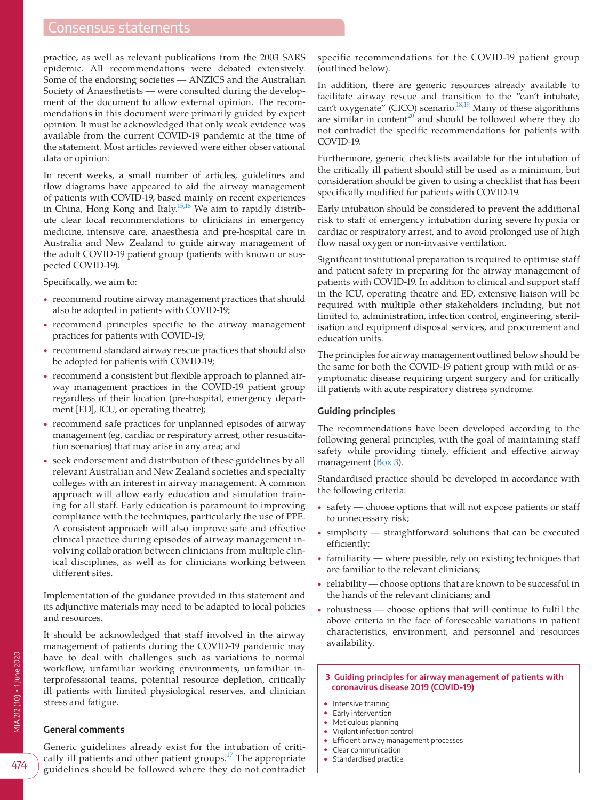# Consensus statements

practice, as well as relevant publications from the 2003 SARS epidemic. All recommendations were debated extensively. Some of the endorsing societies — ANZICS and the Australian Society of Anaesthetists — were consulted during the development of the document to allow external opinion. The recommendations in this document were primarily guided by expert opinion. It must be acknowledged that only weak evidence was available from the current COVID-19 pandemic at the time of the statement. Most articles reviewed were either observational data or opinion.

In recent weeks, a small number of articles, guidelines and flow diagrams have appeared to aid the airway management of patients with COVID-19, based mainly on recent experiences in China, Hong Kong and Italy.<sup>15,16</sup> We aim to rapidly distribute clear local recommendations to clinicians in emergency medicine, intensive care, anaesthesia and pre-hospital care in Australia and New Zealand to guide airway management of the adult COVID-19 patient group (patients with known or suspected COVID-19).

Specifically, we aim to:

- recommend routine airway management practices that should also be adopted in patients with COVID-19;
- recommend principles specific to the airway management practices for patients with COVID-19;
- recommend standard airway rescue practices that should also be adopted for patients with COVID-19;
- recommend a consistent but flexible approach to planned airway management practices in the COVID-19 patient group regardless of their location (pre-hospital, emergency department [ED], ICU, or operating theatre);
- recommend safe practices for unplanned episodes of airway management (eg, cardiac or respiratory arrest, other resuscitation scenarios) that may arise in any area; and
- seek endorsement and distribution of these guidelines by all relevant Australian and New Zealand societies and specialty colleges with an interest in airway management. A common approach will allow early education and simulation training for all staff. Early education is paramount to improving compliance with the techniques, particularly the use of PPE. A consistent approach will also improve safe and effective clinical practice during episodes of airway management involving collaboration between clinicians from multiple clinical disciplines, as well as for clinicians working between different sites.

Implementation of the guidance provided in this statement and its adjunctive materials may need to be adapted to local policies and resources.

It should be acknowledged that staff involved in the airway management of patients during the COVID-19 pandemic may have to deal with challenges such as variations to normal workflow, unfamiliar working environments, unfamiliar interprofessional teams, potential resource depletion, critically ill patients with limited physiological reserves, and clinician stress and fatigue.

## **General comments**

Generic guidelines already exist for the intubation of criti-cally ill patients and other patient groups.<sup>[17](#page-9-1)</sup> The appropriate guidelines should be followed where they do not contradict specific recommendations for the COVID-19 patient group (outlined below).

In addition, there are generic resources already available to facilitate airway rescue and transition to the "can't intubate, can't oxygenate" (CICO) scenario. $18,19$  Many of these algorithms are similar in content<sup>[20](#page-9-3)</sup> and should be followed where they do not contradict the specific recommendations for patients with COVID-19.

Furthermore, generic checklists available for the intubation of the critically ill patient should still be used as a minimum, but consideration should be given to using a checklist that has been specifically modified for patients with COVID-19.

Early intubation should be considered to prevent the additional risk to staff of emergency intubation during severe hypoxia or cardiac or respiratory arrest, and to avoid prolonged use of high flow nasal oxygen or non-invasive ventilation.

Significant institutional preparation is required to optimise staff and patient safety in preparing for the airway management of patients with COVID-19. In addition to clinical and support staff in the ICU, operating theatre and ED, extensive liaison will be required with multiple other stakeholders including, but not limited to, administration, infection control, engineering, sterilisation and equipment disposal services, and procurement and education units.

The principles for airway management outlined below should be the same for both the COVID-19 patient group with mild or asymptomatic disease requiring urgent surgery and for critically ill patients with acute respiratory distress syndrome.

## **Guiding principles**

The recommendations have been developed according to the following general principles, with the goal of maintaining staff safety while providing timely, efficient and effective airway management [\(Box 3\)](#page-2-0).

Standardised practice should be developed in accordance with the following criteria:

- safety choose options that will not expose patients or staff to unnecessary risk;
- $simplify$   $-$  straightforward solutions that can be executed efficiently;
- familiarity where possible, rely on existing techniques that are familiar to the relevant clinicians;
- reliability choose options that are known to be successful in the hands of the relevant clinicians; and
- robustness choose options that will continue to fulfil the above criteria in the face of foreseeable variations in patient characteristics, environment, and personnel and resources availability.
	- **3 Guiding principles for airway management of patients with coronavirus disease 2019 (COVID-19)**
	- Intensive training
- <span id="page-2-0"></span>• Early intervention
- Meticulous planning
- Vigilant infection control
- Efficient airway management processes
- Clear communication • Standardised practice

MJA 212 (10) ▪ 1 June 2020

VJA 212 (10) • 1 June 2020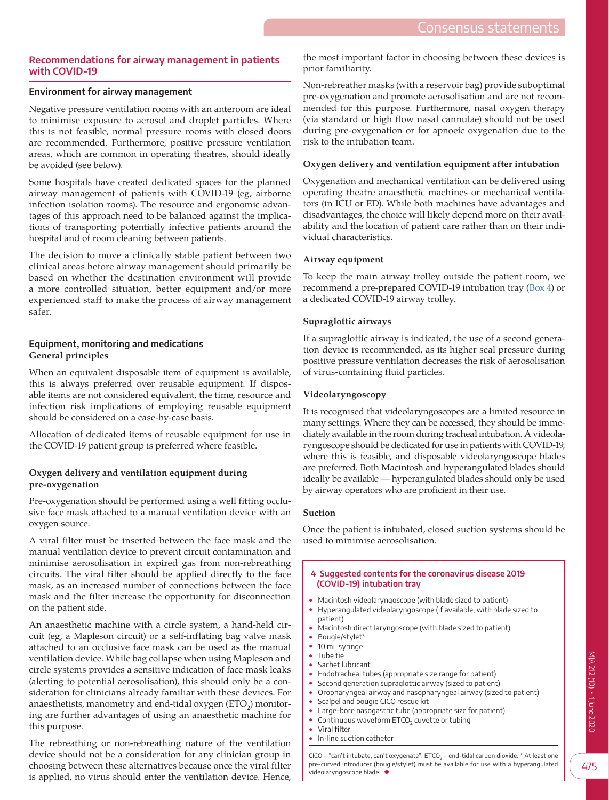## **Recommendations for airway management in patients with COVID-19**

## **Environment for airway management**

Negative pressure ventilation rooms with an anteroom are ideal to minimise exposure to aerosol and droplet particles. Where this is not feasible, normal pressure rooms with closed doors are recommended. Furthermore, positive pressure ventilation areas, which are common in operating theatres, should ideally be avoided (see below).

Some hospitals have created dedicated spaces for the planned airway management of patients with COVID-19 (eg, airborne infection isolation rooms). The resource and ergonomic advantages of this approach need to be balanced against the implications of transporting potentially infective patients around the hospital and of room cleaning between patients.

The decision to move a clinically stable patient between two clinical areas before airway management should primarily be based on whether the destination environment will provide a more controlled situation, better equipment and/or more experienced staff to make the process of airway management safer.

## **Equipment, monitoring and medications General principles**

When an equivalent disposable item of equipment is available, this is always preferred over reusable equipment. If disposable items are not considered equivalent, the time, resource and infection risk implications of employing reusable equipment should be considered on a case-by-case basis.

Allocation of dedicated items of reusable equipment for use in the COVID-19 patient group is preferred where feasible.

## **Oxygen delivery and ventilation equipment during pre-oxygenation**

Pre-oxygenation should be performed using a well fitting occlusive face mask attached to a manual ventilation device with an oxygen source.

A viral filter must be inserted between the face mask and the manual ventilation device to prevent circuit contamination and minimise aerosolisation in expired gas from non-rebreathing circuits. The viral filter should be applied directly to the face mask, as an increased number of connections between the face mask and the filter increase the opportunity for disconnection on the patient side.

An anaesthetic machine with a circle system, a hand-held circuit (eg, a Mapleson circuit) or a self-inflating bag valve mask attached to an occlusive face mask can be used as the manual ventilation device. While bag collapse when using Mapleson and circle systems provides a sensitive indication of face mask leaks (alerting to potential aerosolisation), this should only be a consideration for clinicians already familiar with these devices. For anaesthetists, manometry and end-tidal oxygen  $\rm (ETO_{2})$  monitoring are further advantages of using an anaesthetic machine for this purpose.

The rebreathing or non-rebreathing nature of the ventilation device should not be a consideration for any clinician group in choosing between these alternatives because once the viral filter is applied, no virus should enter the ventilation device. Hence, the most important factor in choosing between these devices is prior familiarity.

Non-rebreather masks (with a reservoir bag) provide suboptimal pre-oxygenation and promote aerosolisation and are not recommended for this purpose. Furthermore, nasal oxygen therapy (via standard or high flow nasal cannulae) should not be used during pre-oxygenation or for apnoeic oxygenation due to the risk to the intubation team.

## **Oxygen delivery and ventilation equipment after intubation**

Oxygenation and mechanical ventilation can be delivered using operating theatre anaesthetic machines or mechanical ventilators (in ICU or ED). While both machines have advantages and disadvantages, the choice will likely depend more on their availability and the location of patient care rather than on their individual characteristics.

## **Airway equipment**

To keep the main airway trolley outside the patient room, we recommend a pre-prepared COVID-19 intubation tray ([Box 4](#page-3-0)) or a dedicated COVID-19 airway trolley.

## **Supraglottic airways**

If a supraglottic airway is indicated, the use of a second generation device is recommended, as its higher seal pressure during positive pressure ventilation decreases the risk of aerosolisation of virus-containing fluid particles.

## **Videolaryngoscopy**

It is recognised that videolaryngoscopes are a limited resource in many settings. Where they can be accessed, they should be immediately available in the room during tracheal intubation. A videolaryngoscope should be dedicated for use in patients with COVID-19, where this is feasible, and disposable videolaryngoscope blades are preferred. Both Macintosh and hyperangulated blades should ideally be available — hyperangulated blades should only be used by airway operators who are proficient in their use.

#### **Suction**

Once the patient is intubated, closed suction systems should be used to minimise aerosolisation.

#### <span id="page-3-0"></span> **4 Suggested contents for the coronavirus disease 2019 (COVID-19) intubation tray**

- Macintosh videolaryngoscope (with blade sized to patient)
- Hyperangulated videolaryngoscope (if available, with blade sized to patient)
	- Macintosh direct laryngoscope (with blade sized to patient)
- Bougie/stylet\*
- 10 mL svringe • Tube tie
- Sachet lubricant
- Endotracheal tubes (appropriate size range for patient)
- Second generation supraglottic airway (sized to patient)
- Oropharyngeal airway and nasopharyngeal airway (sized to patient)
- Scalpel and bougie CICO rescue kit
- Large-bore nasogastric tube (appropriate size for patient) • Continuous waveform  $ETCO<sub>2</sub>$  cuvette or tubing<br>• Viral filter
- Viral filter
- In-line suction catheter

CICO = "can't intubate, can't oxygenate";  $ETCO<sub>2</sub>$  = end-tidal carbon dioxide. \* At least one pre-curved introducer (bougie/stylet) must be available for use with a hyperangulated videolaryngoscope blade. ◆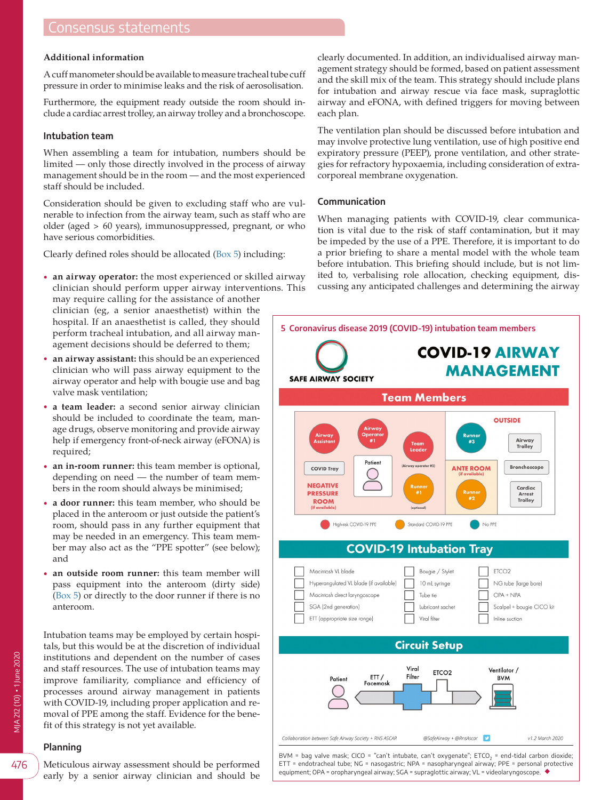# Consensus statements

#### **Additional information**

A cuff manometer should be available to measure tracheal tube cuff pressure in order to minimise leaks and the risk of aerosolisation.

Furthermore, the equipment ready outside the room should include a cardiac arrest trolley, an airway trolley and a bronchoscope.

#### **Intubation team**

When assembling a team for intubation, numbers should be limited — only those directly involved in the process of airway management should be in the room — and the most experienced staff should be included.

Consideration should be given to excluding staff who are vulnerable to infection from the airway team, such as staff who are older (aged > 60 years), immunosuppressed, pregnant, or who have serious comorbidities.

Clearly defined roles should be allocated [\(Box 5\)](#page-4-0) including:

• **an airway operator:** the most experienced or skilled airway clinician should perform upper airway interventions. This

may require calling for the assistance of another clinician (eg, a senior anaesthetist) within the hospital. If an anaesthetist is called, they should perform tracheal intubation, and all airway management decisions should be deferred to them;

- **an airway assistant:** this should be an experienced clinician who will pass airway equipment to the airway operator and help with bougie use and bag valve mask ventilation;
- **a team leader:** a second senior airway clinician should be included to coordinate the team, manage drugs, observe monitoring and provide airway help if emergency front-of-neck airway (eFONA) is required;
- **an in-room runner:** this team member is optional, depending on need — the number of team members in the room should always be minimised;
- **a door runner:** this team member, who should be placed in the anteroom or just outside the patient's room, should pass in any further equipment that may be needed in an emergency. This team member may also act as the "PPE spotter" (see below); and
- **an outside room runner:** this team member will pass equipment into the anteroom (dirty side) ([Box 5](#page-4-0)) or directly to the door runner if there is no anteroom.

Intubation teams may be employed by certain hospitals, but this would be at the discretion of individual institutions and dependent on the number of cases and staff resources. The use of intubation teams may improve familiarity, compliance and efficiency of processes around airway management in patients with COVID-19, including proper application and removal of PPE among the staff. Evidence for the benefit of this strategy is not yet available.

#### **Planning**

VIA 212 (10) • 1 June 2020 MJA 212 (10) ▪ 1 June 2020

early by a senior airway clinician and should be

clearly documented. In addition, an individualised airway management strategy should be formed, based on patient assessment and the skill mix of the team. This strategy should include plans for intubation and airway rescue via face mask, supraglottic airway and eFONA, with defined triggers for moving between each plan.

The ventilation plan should be discussed before intubation and may involve protective lung ventilation, use of high positive end expiratory pressure (PEEP), prone ventilation, and other strategies for refractory hypoxaemia, including consideration of extracorporeal membrane oxygenation.

#### **Communication**

When managing patients with COVID-19, clear communication is vital due to the risk of staff contamination, but it may be impeded by the use of a PPE. Therefore, it is important to do a prior briefing to share a mental model with the whole team before intubation. This briefing should include, but is not limited to, verbalising role allocation, checking equipment, discussing any anticipated challenges and determining the airway

<span id="page-4-0"></span>

476

Meticulous airway assessment should be performed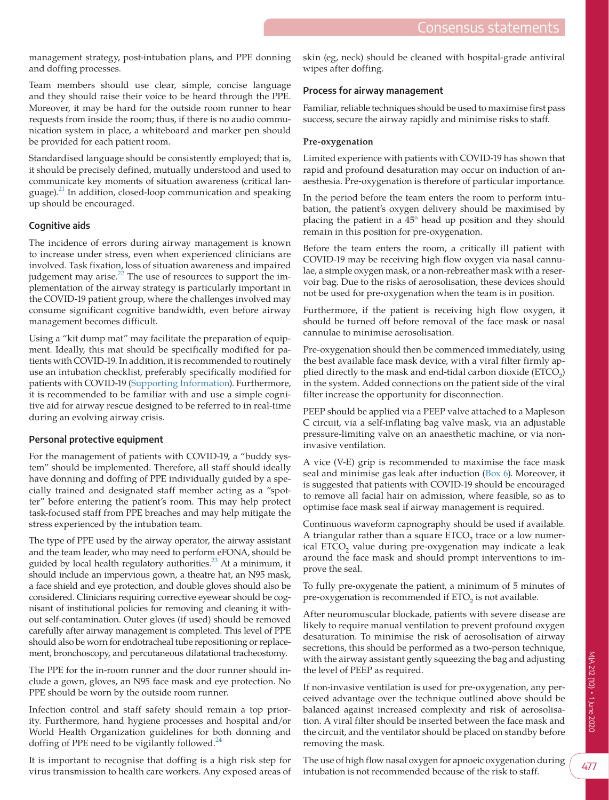management strategy, post-intubation plans, and PPE donning and doffing processes.

Team members should use clear, simple, concise language and they should raise their voice to be heard through the PPE. Moreover, it may be hard for the outside room runner to hear requests from inside the room; thus, if there is no audio communication system in place, a whiteboard and marker pen should be provided for each patient room.

Standardised language should be consistently employed; that is, it should be precisely defined, mutually understood and used to communicate key moments of situation awareness (critical language). $^{21}$  $^{21}$  $^{21}$  In addition, closed-loop communication and speaking up should be encouraged.

## **Cognitive aids**

The incidence of errors during airway management is known to increase under stress, even when experienced clinicians are involved. Task fixation, loss of situation awareness and impaired judgement may arise. $^{22}$  The use of resources to support the implementation of the airway strategy is particularly important in the COVID-19 patient group, where the challenges involved may consume significant cognitive bandwidth, even before airway management becomes difficult.

Using a "kit dump mat" may facilitate the preparation of equipment. Ideally, this mat should be specifically modified for patients with COVID-19. In addition, it is recommended to routinely use an intubation checklist, preferably specifically modified for patients with COVID-19 [\(Supporting Information](#page-9-6)). Furthermore, it is recommended to be familiar with and use a simple cognitive aid for airway rescue designed to be referred to in real-time during an evolving airway crisis.

#### **Personal protective equipment**

For the management of patients with COVID-19, a "buddy system" should be implemented. Therefore, all staff should ideally have donning and doffing of PPE individually guided by a specially trained and designated staff member acting as a "spotter" before entering the patient's room. This may help protect task-focused staff from PPE breaches and may help mitigate the stress experienced by the intubation team.

The type of PPE used by the airway operator, the airway assistant and the team leader, who may need to perform eFONA, should be guided by local health regulatory authorities. $^{23}$  At a minimum, it should include an impervious gown, a theatre hat, an N95 mask, a face shield and eye protection, and double gloves should also be considered. Clinicians requiring corrective eyewear should be cognisant of institutional policies for removing and cleaning it without self-contamination. Outer gloves (if used) should be removed carefully after airway management is completed. This level of PPE should also be worn for endotracheal tube repositioning or replacement, bronchoscopy, and percutaneous dilatational tracheostomy.

The PPE for the in-room runner and the door runner should include a gown, gloves, an N95 face mask and eye protection. No PPE should be worn by the outside room runner.

Infection control and staff safety should remain a top priority. Furthermore, hand hygiene processes and hospital and/or World Health Organization guidelines for both donning and doffing of PPE need to be vigilantly followed. $^{24}$  $^{24}$  $^{24}$ 

It is important to recognise that doffing is a high risk step for virus transmission to health care workers. Any exposed areas of skin (eg, neck) should be cleaned with hospital-grade antiviral wipes after doffing.

#### **Process for airway management**

Familiar, reliable techniques should be used to maximise first pass success, secure the airway rapidly and minimise risks to staff.

#### **Pre-oxygenation**

Limited experience with patients with COVID-19 has shown that rapid and profound desaturation may occur on induction of anaesthesia. Pre-oxygenation is therefore of particular importance.

In the period before the team enters the room to perform intubation, the patient's oxygen delivery should be maximised by placing the patient in a 45° head up position and they should remain in this position for pre-oxygenation.

Before the team enters the room, a critically ill patient with COVID-19 may be receiving high flow oxygen via nasal cannulae, a simple oxygen mask, or a non-rebreather mask with a reservoir bag. Due to the risks of aerosolisation, these devices should not be used for pre-oxygenation when the team is in position.

Furthermore, if the patient is receiving high flow oxygen, it should be turned off before removal of the face mask or nasal cannulae to minimise aerosolisation.

Pre-oxygenation should then be commenced immediately, using the best available face mask device, with a viral filter firmly applied directly to the mask and end-tidal carbon dioxide  $(ETCO<sub>2</sub>)$ in the system. Added connections on the patient side of the viral filter increase the opportunity for disconnection.

PEEP should be applied via a PEEP valve attached to a Mapleson C circuit, via a self-inflating bag valve mask, via an adjustable pressure-limiting valve on an anaesthetic machine, or via noninvasive ventilation.

A vice (V-E) grip is recommended to maximise the face mask seal and minimise gas leak after induction ([Box 6\)](#page-6-0). Moreover, it is suggested that patients with COVID-19 should be encouraged to remove all facial hair on admission, where feasible, so as to optimise face mask seal if airway management is required.

Continuous waveform capnography should be used if available. A triangular rather than a square  $ETCO<sub>2</sub>$  trace or a low numerical ETCO<sub>2</sub> value during pre-oxygenation may indicate a leak around the face mask and should prompt interventions to improve the seal.

To fully pre-oxygenate the patient, a minimum of 5 minutes of pre-oxygenation is recommended if ETO<sub>2</sub> is not available.

After neuromuscular blockade, patients with severe disease are likely to require manual ventilation to prevent profound oxygen desaturation. To minimise the risk of aerosolisation of airway secretions, this should be performed as a two-person technique, with the airway assistant gently squeezing the bag and adjusting the level of PEEP as required.

If non-invasive ventilation is used for pre-oxygenation, any perceived advantage over the technique outlined above should be balanced against increased complexity and risk of aerosolisation. A viral filter should be inserted between the face mask and the circuit, and the ventilator should be placed on standby before removing the mask.

The use of high flow nasal oxygen for apnoeic oxygenation during intubation is not recommended because of the risk to staff.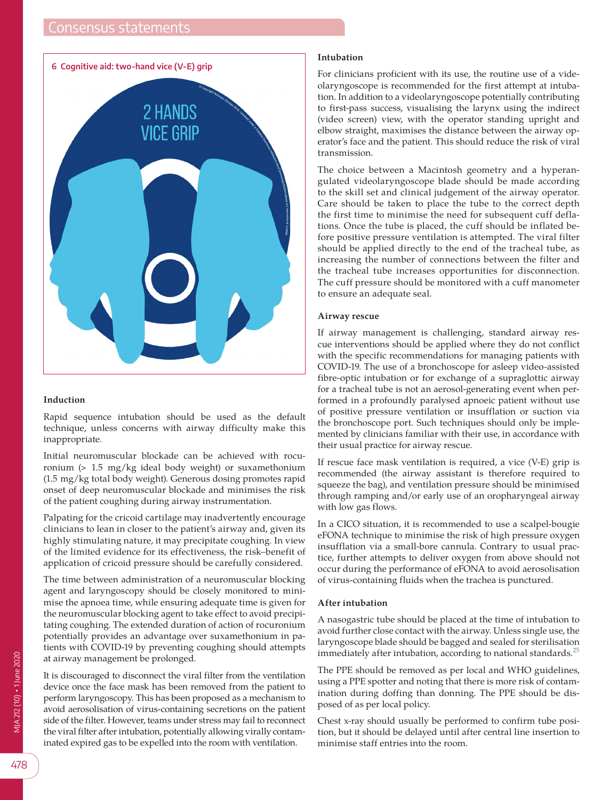<span id="page-6-0"></span>

## **Induction**

Rapid sequence intubation should be used as the default technique, unless concerns with airway difficulty make this inappropriate.

Initial neuromuscular blockade can be achieved with rocuronium (> 1.5 mg/kg ideal body weight) or suxamethonium (1.5 mg/kg total body weight). Generous dosing promotes rapid onset of deep neuromuscular blockade and minimises the risk of the patient coughing during airway instrumentation.

Palpating for the cricoid cartilage may inadvertently encourage clinicians to lean in closer to the patient's airway and, given its highly stimulating nature, it may precipitate coughing. In view of the limited evidence for its effectiveness, the risk–benefit of application of cricoid pressure should be carefully considered.

The time between administration of a neuromuscular blocking agent and laryngoscopy should be closely monitored to minimise the apnoea time, while ensuring adequate time is given for the neuromuscular blocking agent to take effect to avoid precipitating coughing. The extended duration of action of rocuronium potentially provides an advantage over suxamethonium in patients with COVID-19 by preventing coughing should attempts at airway management be prolonged.

It is discouraged to disconnect the viral filter from the ventilation device once the face mask has been removed from the patient to perform laryngoscopy. This has been proposed as a mechanism to avoid aerosolisation of virus-containing secretions on the patient side of the filter. However, teams under stress may fail to reconnect the viral filter after intubation, potentially allowing virally contaminated expired gas to be expelled into the room with ventilation.

#### **Intubation**

For clinicians proficient with its use, the routine use of a videolaryngoscope is recommended for the first attempt at intubation. In addition to a videolaryngoscope potentially contributing to first-pass success, visualising the larynx using the indirect (video screen) view, with the operator standing upright and elbow straight, maximises the distance between the airway operator's face and the patient. This should reduce the risk of viral transmission.

The choice between a Macintosh geometry and a hyperangulated videolaryngoscope blade should be made according to the skill set and clinical judgement of the airway operator. Care should be taken to place the tube to the correct depth the first time to minimise the need for subsequent cuff deflations. Once the tube is placed, the cuff should be inflated before positive pressure ventilation is attempted. The viral filter should be applied directly to the end of the tracheal tube, as increasing the number of connections between the filter and the tracheal tube increases opportunities for disconnection. The cuff pressure should be monitored with a cuff manometer to ensure an adequate seal.

#### **Airway rescue**

If airway management is challenging, standard airway rescue interventions should be applied where they do not conflict with the specific recommendations for managing patients with COVID-19. The use of a bronchoscope for asleep video-assisted fibre-optic intubation or for exchange of a supraglottic airway for a tracheal tube is not an aerosol-generating event when performed in a profoundly paralysed apnoeic patient without use of positive pressure ventilation or insufflation or suction via the bronchoscope port. Such techniques should only be implemented by clinicians familiar with their use, in accordance with their usual practice for airway rescue.

If rescue face mask ventilation is required, a vice (V-E) grip is recommended (the airway assistant is therefore required to squeeze the bag), and ventilation pressure should be minimised through ramping and/or early use of an oropharyngeal airway with low gas flows.

In a CICO situation, it is recommended to use a scalpel-bougie eFONA technique to minimise the risk of high pressure oxygen insufflation via a small-bore cannula. Contrary to usual practice, further attempts to deliver oxygen from above should not occur during the performance of eFONA to avoid aerosolisation of virus-containing fluids when the trachea is punctured.

#### **After intubation**

A nasogastric tube should be placed at the time of intubation to avoid further close contact with the airway. Unless single use, the laryngoscope blade should be bagged and sealed for sterilisation immediately after intubation, according to national standards. $^{25}$  $^{25}$  $^{25}$ 

The PPE should be removed as per local and WHO guidelines, using a PPE spotter and noting that there is more risk of contamination during doffing than donning. The PPE should be disposed of as per local policy.

Chest x-ray should usually be performed to confirm tube position, but it should be delayed until after central line insertion to minimise staff entries into the room.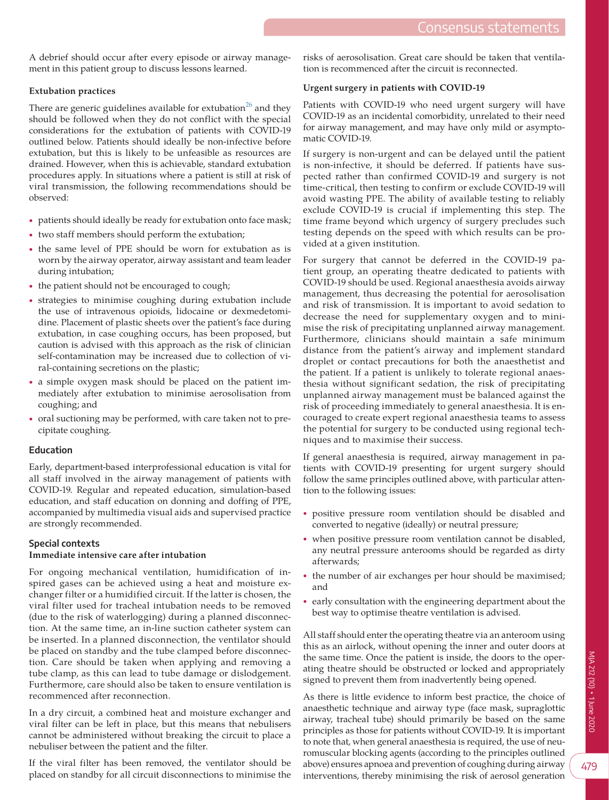A debrief should occur after every episode or airway management in this patient group to discuss lessons learned.

## **Extubation practices**

There are generic guidelines available for extubation<sup>26</sup> and they should be followed when they do not conflict with the special considerations for the extubation of patients with COVID-19 outlined below. Patients should ideally be non-infective before extubation, but this is likely to be unfeasible as resources are drained. However, when this is achievable, standard extubation procedures apply. In situations where a patient is still at risk of viral transmission, the following recommendations should be observed:

- patients should ideally be ready for extubation onto face mask;
- two staff members should perform the extubation;
- the same level of PPE should be worn for extubation as is worn by the airway operator, airway assistant and team leader during intubation;
- the patient should not be encouraged to cough;
- strategies to minimise coughing during extubation include the use of intravenous opioids, lidocaine or dexmedetomidine. Placement of plastic sheets over the patient's face during extubation, in case coughing occurs, has been proposed, but caution is advised with this approach as the risk of clinician self-contamination may be increased due to collection of viral-containing secretions on the plastic;
- a simple oxygen mask should be placed on the patient immediately after extubation to minimise aerosolisation from coughing; and
- oral suctioning may be performed, with care taken not to precipitate coughing.

## **Education**

Early, department-based interprofessional education is vital for all staff involved in the airway management of patients with COVID-19. Regular and repeated education, simulation-based education, and staff education on donning and doffing of PPE, accompanied by multimedia visual aids and supervised practice are strongly recommended.

## **Special contexts**

## **Immediate intensive care after intubation**

For ongoing mechanical ventilation, humidification of inspired gases can be achieved using a heat and moisture exchanger filter or a humidified circuit. If the latter is chosen, the viral filter used for tracheal intubation needs to be removed (due to the risk of waterlogging) during a planned disconnection. At the same time, an in-line suction catheter system can be inserted. In a planned disconnection, the ventilator should be placed on standby and the tube clamped before disconnection. Care should be taken when applying and removing a tube clamp, as this can lead to tube damage or dislodgement. Furthermore, care should also be taken to ensure ventilation is recommenced after reconnection.

In a dry circuit, a combined heat and moisture exchanger and viral filter can be left in place, but this means that nebulisers cannot be administered without breaking the circuit to place a nebuliser between the patient and the filter.

If the viral filter has been removed, the ventilator should be placed on standby for all circuit disconnections to minimise the

risks of aerosolisation. Great care should be taken that ventilation is recommenced after the circuit is reconnected.

## **Urgent surgery in patients with COVID-19**

Patients with COVID-19 who need urgent surgery will have COVID-19 as an incidental comorbidity, unrelated to their need for airway management, and may have only mild or asymptomatic COVID-19.

If surgery is non-urgent and can be delayed until the patient is non-infective, it should be deferred. If patients have suspected rather than confirmed COVID-19 and surgery is not time-critical, then testing to confirm or exclude COVID-19 will avoid wasting PPE. The ability of available testing to reliably exclude COVID-19 is crucial if implementing this step. The time frame beyond which urgency of surgery precludes such testing depends on the speed with which results can be provided at a given institution.

For surgery that cannot be deferred in the COVID-19 patient group, an operating theatre dedicated to patients with COVID-19 should be used. Regional anaesthesia avoids airway management, thus decreasing the potential for aerosolisation and risk of transmission. It is important to avoid sedation to decrease the need for supplementary oxygen and to minimise the risk of precipitating unplanned airway management. Furthermore, clinicians should maintain a safe minimum distance from the patient's airway and implement standard droplet or contact precautions for both the anaesthetist and the patient. If a patient is unlikely to tolerate regional anaesthesia without significant sedation, the risk of precipitating unplanned airway management must be balanced against the risk of proceeding immediately to general anaesthesia. It is encouraged to create expert regional anaesthesia teams to assess the potential for surgery to be conducted using regional techniques and to maximise their success.

If general anaesthesia is required, airway management in patients with COVID-19 presenting for urgent surgery should follow the same principles outlined above, with particular attention to the following issues:

- positive pressure room ventilation should be disabled and converted to negative (ideally) or neutral pressure;
- when positive pressure room ventilation cannot be disabled, any neutral pressure anterooms should be regarded as dirty afterwards;
- the number of air exchanges per hour should be maximised; and
- early consultation with the engineering department about the best way to optimise theatre ventilation is advised.

All staff should enter the operating theatre via an anteroom using this as an airlock, without opening the inner and outer doors at the same time. Once the patient is inside, the doors to the operating theatre should be obstructed or locked and appropriately signed to prevent them from inadvertently being opened.

As there is little evidence to inform best practice, the choice of anaesthetic technique and airway type (face mask, supraglottic airway, tracheal tube) should primarily be based on the same principles as those for patients without COVID-19. It is important to note that, when general anaesthesia is required, the use of neuromuscular blocking agents (according to the principles outlined above) ensures apnoea and prevention of coughing during airway interventions, thereby minimising the risk of aerosol generation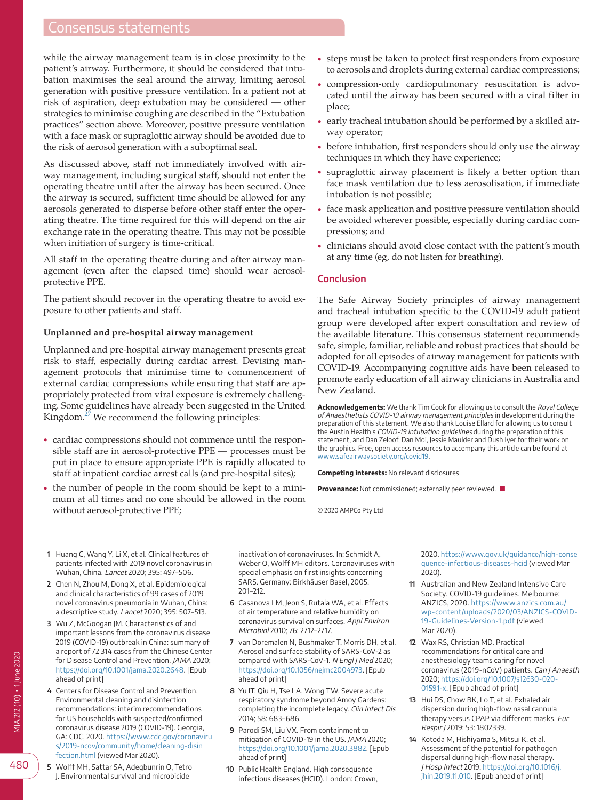# Consensus statements

while the airway management team is in close proximity to the patient's airway. Furthermore, it should be considered that intubation maximises the seal around the airway, limiting aerosol generation with positive pressure ventilation. In a patient not at risk of aspiration, deep extubation may be considered — other strategies to minimise coughing are described in the "Extubation practices" section above. Moreover, positive pressure ventilation with a face mask or supraglottic airway should be avoided due to the risk of aerosol generation with a suboptimal seal.

As discussed above, staff not immediately involved with airway management, including surgical staff, should not enter the operating theatre until after the airway has been secured. Once the airway is secured, sufficient time should be allowed for any aerosols generated to disperse before other staff enter the operating theatre. The time required for this will depend on the air exchange rate in the operating theatre. This may not be possible when initiation of surgery is time-critical.

All staff in the operating theatre during and after airway management (even after the elapsed time) should wear aerosolprotective PPE.

The patient should recover in the operating theatre to avoid exposure to other patients and staff.

#### **Unplanned and pre-hospital airway management**

Unplanned and pre-hospital airway management presents great risk to staff, especially during cardiac arrest. Devising management protocols that minimise time to commencement of external cardiac compressions while ensuring that staff are appropriately protected from viral exposure is extremely challenging. Some guidelines have already been suggested in the United Kingdom. $^{27}$  $^{27}$  $^{27}$  We recommend the following principles:

- cardiac compressions should not commence until the responsible staff are in aerosol-protective PPE — processes must be put in place to ensure appropriate PPE is rapidly allocated to staff at inpatient cardiac arrest calls (and pre-hospital sites);
- the number of people in the room should be kept to a minimum at all times and no one should be allowed in the room without aerosol-protective PPE;
- steps must be taken to protect first responders from exposure to aerosols and droplets during external cardiac compressions;
- compression-only cardiopulmonary resuscitation is advocated until the airway has been secured with a viral filter in place;
- early tracheal intubation should be performed by a skilled airway operator;
- before intubation, first responders should only use the airway techniques in which they have experience;
- supraglottic airway placement is likely a better option than face mask ventilation due to less aerosolisation, if immediate intubation is not possible;
- face mask application and positive pressure ventilation should be avoided wherever possible, especially during cardiac compressions; and
- clinicians should avoid close contact with the patient's mouth at any time (eg, do not listen for breathing).

#### **Conclusion**

The Safe Airway Society principles of airway management and tracheal intubation specific to the COVID-19 adult patient group were developed after expert consultation and review of the available literature. This consensus statement recommends safe, simple, familiar, reliable and robust practices that should be adopted for all episodes of airway management for patients with COVID-19. Accompanying cognitive aids have been released to promote early education of all airway clinicians in Australia and New Zealand.

**Acknowledgements:** We thank Tim Cook for allowing us to consult the Royal College of Anaesthetists COVID-19 airway management principles in development during the preparation of this statement. We also thank Louise Ellard for allowing us to consult the Austin Health's COVID-19 intubation guidelines during the preparation of this statement, and Dan Zeloof, Dan Moi, Jessie Maulder and Dush Iyer for their work on the graphics. Free, open access resources to accompany this article can be found at [www.safeairwaysociety.org/covid19](http://www.safeairwaysociety.org/covid19).

**Competing interests:** No relevant disclosures.

**Provenance:** Not commissioned; externally peer reviewed. ■

© 2020 AMPCo Pty Ltd

- <span id="page-8-0"></span> **1** Huang C, Wang Y, Li X, et al. Clinical features of patients infected with 2019 novel coronavirus in Wuhan, China. Lancet 2020; 395: 497–506.
- <span id="page-8-1"></span> **2** Chen N, Zhou M, Dong X, et al. Epidemiological and clinical characteristics of 99 cases of 2019 novel coronavirus pneumonia in Wuhan, China: a descriptive study. Lancet 2020; 395: 507–513.
- **3** Wu Z, McGoogan JM. Characteristics of and important lessons from the coronavirus disease 2019 (COVID-19) outbreak in China: summary of a report of 72 314 cases from the Chinese Center for Disease Control and Prevention. JAMA 2020; [https://doi.org/10.1001/jama.2020.2648.](https://doi.org/10.1001/jama.2020.2648) [Epub ahead of print]
- <span id="page-8-2"></span> **4** Centers for Disease Control and Prevention. Environmental cleaning and disinfection recommendations: interim recommendations for US households with suspected/confirmed coronavirus disease 2019 (COVID-19). Georgia, GA: CDC, 2020. [https://www.cdc.gov/coronaviru](https://www.cdc.gov/coronavirus/2019-ncov/community/home/cleaning-disinfection.html) [s/2019-ncov/community/home/cleaning-disin](https://www.cdc.gov/coronavirus/2019-ncov/community/home/cleaning-disinfection.html) [fection.html](https://www.cdc.gov/coronavirus/2019-ncov/community/home/cleaning-disinfection.html) (viewed Mar 2020).
- <span id="page-8-3"></span> **5** Wolff MH, Sattar SA, Adegbunrin O, Tetro J. Environmental survival and microbicide

inactivation of coronaviruses. In: Schmidt A, Weber O, Wolff MH editors. Coronaviruses with special emphasis on first insights concerning SARS. Germany: Birkhäuser Basel, 2005: 201–212.

- **6** Casanova LM, Jeon S, Rutala WA, et al. Effects of air temperature and relative humidity on coronavirus survival on surfaces. Appl Environ Microbiol 2010; 76: 2712–2717.
- **7** van Doremalen N, Bushmaker T, Morris DH, et al. Aerosol and surface stability of SARS-CoV-2 as compared with SARS-CoV-1. N Engl J Med 2020; [https://doi.org/10.1056/nejmc2004973.](https://doi.org/10.1056/nejmc2004973) [Epub ahead of print]
- **8** Yu IT, Qiu H, Tse LA, Wong TW. Severe acute respiratory syndrome beyond Amoy Gardens: completing the incomplete legacy. Clin Infect Dis 2014; 58: 683–686.
- <span id="page-8-4"></span> **9** Parodi SM, Liu VX. From containment to mitigation of COVID-19 in the US. JAMA 2020; <https://doi.org/10.1001/jama.2020.3882>. [Epub ahead of print]
- <span id="page-8-5"></span>**10** Public Health England. High consequence infectious diseases (HCID). London: Crown,

2020. [https://www.gov.uk/guidance/high-conse](https://www.gov.uk/guidance/high-consequence-infectious-diseases-hcid) [quence-infectious-diseases-hcid](https://www.gov.uk/guidance/high-consequence-infectious-diseases-hcid) (viewed Mar 2020).

- <span id="page-8-6"></span>**11** Australian and New Zealand Intensive Care Society. COVID-19 guidelines. Melbourne: ANZICS, 2020. [https://www.anzics.com.au/](https://www.anzics.com.au/wp-content/uploads/2020/03/ANZICS-COVID-19-Guidelines-Version-1.pdf) [wp-content/uploads/2020/03/ANZICS-COVID-](https://www.anzics.com.au/wp-content/uploads/2020/03/ANZICS-COVID-19-Guidelines-Version-1.pdf)[19-Guidelines-Version-1.pdf](https://www.anzics.com.au/wp-content/uploads/2020/03/ANZICS-COVID-19-Guidelines-Version-1.pdf) (viewed Mar 2020).
- <span id="page-8-7"></span>**12** Wax RS, Christian MD. Practical recommendations for critical care and anesthesiology teams caring for novel coronavirus (2019-nCoV) patients. Can J Anaesth 2020; [https://doi.org/10.1007/s12630-020-](https://doi.org/10.1007/s12630-020-01591-x) [01591-x.](https://doi.org/10.1007/s12630-020-01591-x) [Epub ahead of print]
- <span id="page-8-8"></span>**13** Hui DS, Chow BK, Lo T, et al. Exhaled air dispersion during high-flow nasal cannula therapy versus CPAP via different masks. Eur Respir J 2019; 53: 1802339.
- **14** Kotoda M, Hishiyama S, Mitsui K, et al. Assessment of the potential for pathogen dispersal during high-flow nasal therapy. J Hosp Infect 2019; [https://doi.org/10.1016/j.](https://doi.org/10.1016/j.jhin.2019.11.010) [jhin.2019.11.010.](https://doi.org/10.1016/j.jhin.2019.11.010) [Epub ahead of print]

480